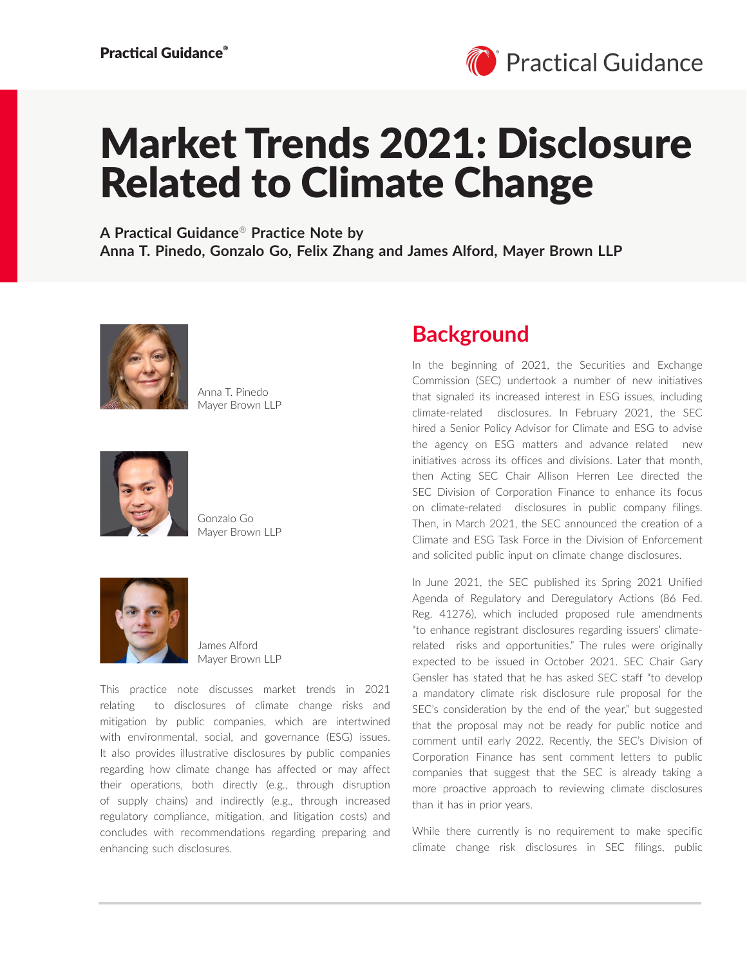

# Market Trends 2021: Disclosure Related to Climate Change

**A Practical Guidance**® **Practice Note by Anna T. Pinedo, Gonzalo Go, Felix Zhang and James Alford, Mayer Brown LLP**



Anna T. Pinedo Mayer Brown LLP



Gonzalo Go Mayer Brown LLP



James Alford Mayer Brown LLP

This practice note discusses market trends in 2021 relating to disclosures of climate change risks and mitigation by public companies, which are intertwined with environmental, social, and governance (ESG) issues. It also provides illustrative disclosures by public companies regarding how climate change has affected or may affect their operations, both directly (e.g., through disruption of supply chains) and indirectly (e.g., through increased regulatory compliance, mitigation, and litigation costs) and concludes with recommendations regarding preparing and enhancing such disclosures.

### **Background**

In the beginning of 2021, the Securities and Exchange Commission (SEC) undertook a number of new initiatives that signaled its increased interest in ESG issues, including climate-related disclosures. In February 2021, the SEC hired a Senior Policy Advisor for Climate and ESG to advise the agency on ESG matters and advance related new initiatives across its offices and divisions. Later that month, then Acting SEC Chair Allison Herren Lee directed the SEC Division of Corporation Finance to enhance its focus on climate-related disclosures in public company filings. Then, in March 2021, the SEC announced the creation of a Climate and ESG Task Force in the Division of Enforcement and solicited public input on climate change disclosures.

In June 2021, the SEC published its Spring 2021 Unified Agenda of Regulatory and Deregulatory Actions (86 Fed. Reg. 41276), which included proposed rule amendments "to enhance registrant disclosures regarding issuers' climaterelated risks and opportunities." The rules were originally expected to be issued in October 2021. SEC Chair Gary Gensler has stated that he has asked SEC staff "to develop a mandatory climate risk disclosure rule proposal for the SEC's consideration by the end of the year," but suggested that the proposal may not be ready for public notice and comment until early 2022. Recently, the SEC's Division of Corporation Finance has sent comment letters to public companies that suggest that the SEC is already taking a more proactive approach to reviewing climate disclosures than it has in prior years.

While there currently is no requirement to make specific climate change risk disclosures in SEC filings, public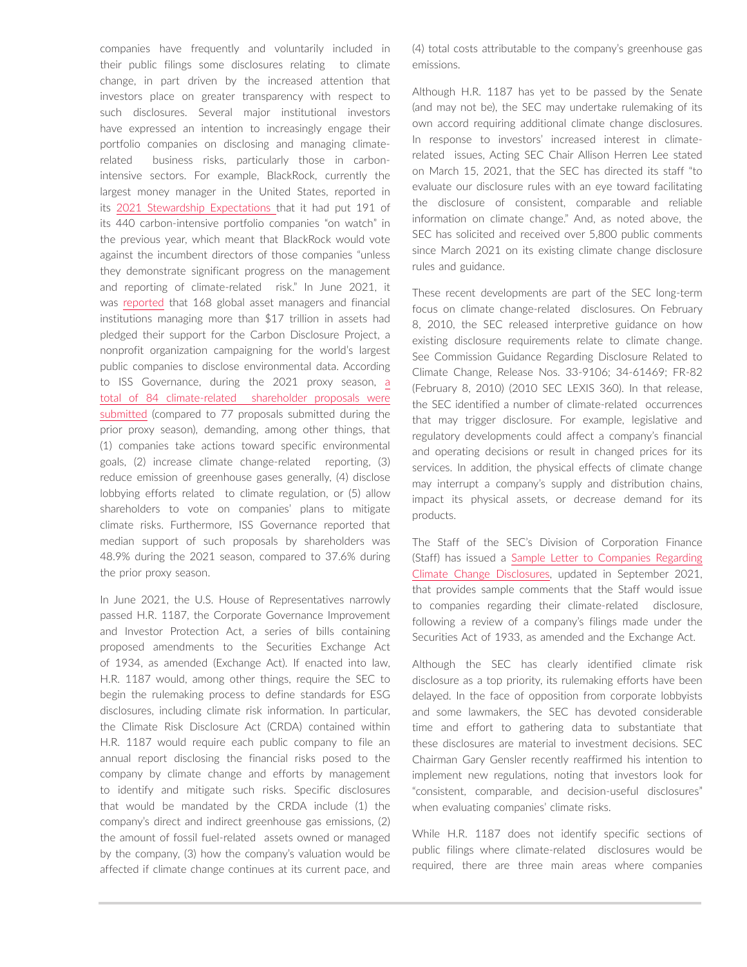companies have frequently and voluntarily included in their public filings some disclosures relating to climate change, in part driven by the increased attention that investors place on greater transparency with respect to such disclosures. Several major institutional investors have expressed an intention to increasingly engage their portfolio companies on disclosing and managing climaterelated business risks, particularly those in carbonintensive sectors. For example, BlackRock, currently the largest money manager in the United States, reported in its [2021 Stewardship Expectations](https://www.blackrock.com/corporate/literature/publication/our-2021-stewardship-expectations.pdf) that it had put 191 of its 440 carbon-intensive portfolio companies "on watch" in the previous year, which meant that BlackRock would vote against the incumbent directors of those companies "unless they demonstrate significant progress on the management and reporting of climate-related risk." In June 2021, it was [reported](https://www.cdp.net/en/articles/media/a-record-168-investors-with-us17-trillion-of-assets-urge-1300-firms-to-disclose-environmental-data) that 168 global asset managers and financial institutions managing more than \$17 trillion in assets had pledged their support for the Carbon Disclosure Project, a nonprofit organization campaigning for the world's largest public companies to disclose environmental data. According to ISS Governance, during the 2021 proxy season, [a](https://www.issgovernance.com/file/publications/iss-2021-us-proxy-season-climate-related-voting-trends.pdf) [total of 84 climate-related shareholder proposals were](https://www.issgovernance.com/file/publications/iss-2021-us-proxy-season-climate-related-voting-trends.pdf)  [submitted](https://www.issgovernance.com/file/publications/iss-2021-us-proxy-season-climate-related-voting-trends.pdf) (compared to 77 proposals submitted during the prior proxy season), demanding, among other things, that (1) companies take actions toward specific environmental goals, (2) increase climate change-related reporting, (3) reduce emission of greenhouse gases generally, (4) disclose lobbying efforts related to climate regulation, or (5) allow shareholders to vote on companies' plans to mitigate climate risks. Furthermore, ISS Governance reported that median support of such proposals by shareholders was 48.9% during the 2021 season, compared to 37.6% during the prior proxy season.

In June 2021, the U.S. House of Representatives narrowly passed H.R. 1187, the Corporate Governance Improvement and Investor Protection Act, a series of bills containing proposed amendments to the Securities Exchange Act of 1934, as amended (Exchange Act). If enacted into law, H.R. 1187 would, among other things, require the SEC to begin the rulemaking process to define standards for ESG disclosures, including climate risk information. In particular, the Climate Risk Disclosure Act (CRDA) contained within H.R. 1187 would require each public company to file an annual report disclosing the financial risks posed to the company by climate change and efforts by management to identify and mitigate such risks. Specific disclosures that would be mandated by the CRDA include (1) the company's direct and indirect greenhouse gas emissions, (2) the amount of fossil fuel-related assets owned or managed by the company, (3) how the company's valuation would be affected if climate change continues at its current pace, and (4) total costs attributable to the company's greenhouse gas emissions.

Although H.R. 1187 has yet to be passed by the Senate (and may not be), the SEC may undertake rulemaking of its own accord requiring additional climate change disclosures. In response to investors' increased interest in climaterelated issues, Acting SEC Chair Allison Herren Lee stated on March 15, 2021, that the SEC has directed its staff "to evaluate our disclosure rules with an eye toward facilitating the disclosure of consistent, comparable and reliable information on climate change." And, as noted above, the SEC has solicited and received over 5,800 public comments since March 2021 on its existing climate change disclosure rules and guidance.

These recent developments are part of the SEC long-term focus on climate change-related disclosures. On February 8, 2010, the SEC released interpretive guidance on how existing disclosure requirements relate to climate change. See Commission Guidance Regarding Disclosure Related to Climate Change, Release Nos. 33-9106; 34-61469; FR-82 (February 8, 2010) (2010 SEC LEXIS 360). In that release, the SEC identified a number of climate-related occurrences that may trigger disclosure. For example, legislative and regulatory developments could affect a company's financial and operating decisions or result in changed prices for its services. In addition, the physical effects of climate change may interrupt a company's supply and distribution chains, impact its physical assets, or decrease demand for its products.

The Staff of the SEC's Division of Corporation Finance (Staff) has issued a [Sample Letter to Companies Regarding](https://www.sec.gov/corpfin/sample-letter-climate-change-disclosures)  [Climate](https://www.sec.gov/corpfin/sample-letter-climate-change-disclosures) [Change](https://www.sec.gov/corpfin/sample-letter-climate-change-disclosures) [Disclosures,](https://www.sec.gov/corpfin/sample-letter-climate-change-disclosures) updated in September 2021, that provides sample comments that the Staff would issue to companies regarding their climate-related disclosure, following a review of a company's filings made under the Securities Act of 1933, as amended and the Exchange Act.

Although the SEC has clearly identified climate risk disclosure as a top priority, its rulemaking efforts have been delayed. In the face of opposition from corporate lobbyists and some lawmakers, the SEC has devoted considerable time and effort to gathering data to substantiate that these disclosures are material to investment decisions. SEC Chairman Gary Gensler recently reaffirmed his intention to implement new regulations, noting that investors look for "consistent, comparable, and decision-useful disclosures" when evaluating companies' climate risks.

While H.R. 1187 does not identify specific sections of public filings where climate-related disclosures would be required, there are three main areas where companies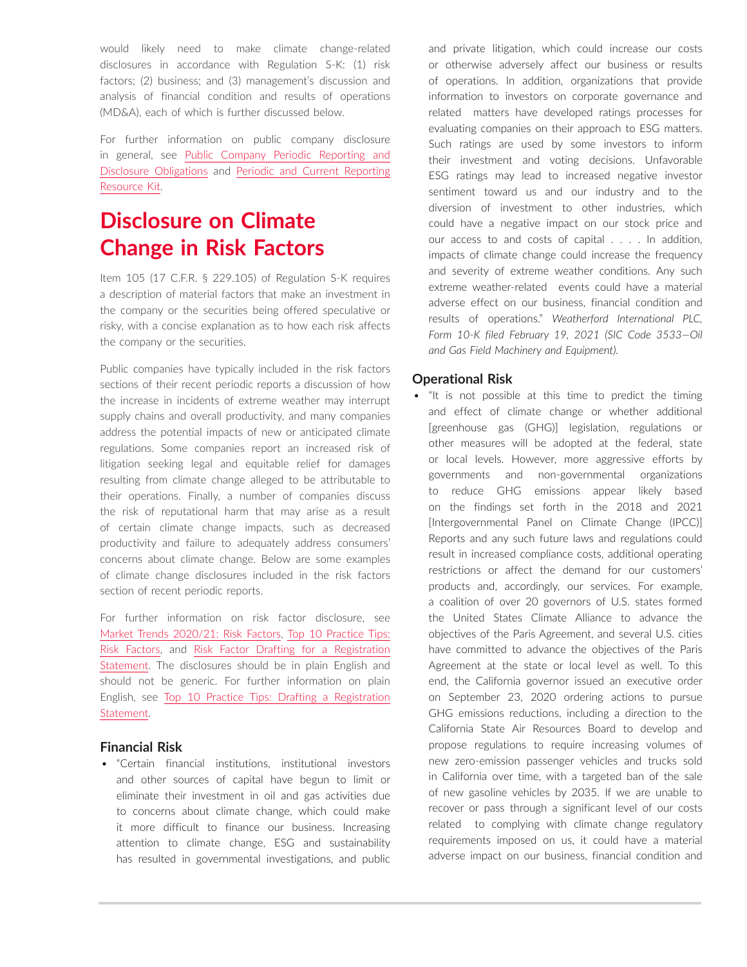would likely need to make climate change-related disclosures in accordance with Regulation S-K: (1) risk factors; (2) business; and (3) management's discussion and analysis of financial condition and results of operations (MD&A), each of which is further discussed below.

For further information on public company disclosure in general, see [Public Company Periodic Reporting and](https://advance.lexis.com/open/document/lpadocument/?pdmfid=1000522&pddocfullpath=%2Fshared%2Fdocument%2Fanalytical-materials%2Furn%3AcontentItem%3A5PM7-NB31-JJ1H-X1MB-00000-00&pdcontentcomponentid=500749&pdteaserkey=sr0&pditab=allpods&ecomp=ztrg&earg=sr0)  [Disclosure Obligations](https://advance.lexis.com/open/document/lpadocument/?pdmfid=1000522&pddocfullpath=%2Fshared%2Fdocument%2Fanalytical-materials%2Furn%3AcontentItem%3A5PM7-NB31-JJ1H-X1MB-00000-00&pdcontentcomponentid=500749&pdteaserkey=sr0&pditab=allpods&ecomp=ztrg&earg=sr0) and [Periodic and Current Reporting](https://advance.lexis.com/open/document/lpadocument/?pdmfid=1000522&pddocfullpath=%2Fshared%2Fdocument%2Fanalytical-materials%2Furn%3AcontentItem%3A5MM6-CB71-K054-G29W-00000-00&pdcontentcomponentid=500749&pdteaserkey=sr0&pditab=allpods&ecomp=ztrg&earg=sr0)  [Resource Kit](https://advance.lexis.com/open/document/lpadocument/?pdmfid=1000522&pddocfullpath=%2Fshared%2Fdocument%2Fanalytical-materials%2Furn%3AcontentItem%3A5MM6-CB71-K054-G29W-00000-00&pdcontentcomponentid=500749&pdteaserkey=sr0&pditab=allpods&ecomp=ztrg&earg=sr0).

# **Disclosure on Climate Change in Risk Factors**

Item 105 (17 C.F.R. § 229.105) of Regulation S-K requires a description of material factors that make an investment in the company or the securities being offered speculative or risky, with a concise explanation as to how each risk affects the company or the securities.

Public companies have typically included in the risk factors sections of their recent periodic reports a discussion of how the increase in incidents of extreme weather may interrupt supply chains and overall productivity, and many companies address the potential impacts of new or anticipated climate regulations. Some companies report an increased risk of litigation seeking legal and equitable relief for damages resulting from climate change alleged to be attributable to their operations. Finally, a number of companies discuss the risk of reputational harm that may arise as a result of certain climate change impacts, such as decreased productivity and failure to adequately address consumers' concerns about climate change. Below are some examples of climate change disclosures included in the risk factors section of recent periodic reports.

For further information on risk factor disclosure, see [Market Trends 2020/21: Risk Factors](https://advance.lexis.com/open/document/lpadocument/?pdmfid=1000522&pddocfullpath=%2Fshared%2Fdocument%2Fanalytical-materials%2Furn%3AcontentItem%3A620B-BV21-JJK6-S19P-00000-00&pdcontentcomponentid=500749&pdteaserkey=sr0&pditab=allpods&ecomp=ztrg&earg=sr0), [Top 10 Practice Tips:](https://advance.lexis.com/open/document/lpadocument/?pdmfid=1000522&pddocfullpath=%2Fshared%2Fdocument%2Fanalytical-materials%2Furn%3AcontentItem%3A5PM7-NB31-JJ1H-X1M8-00000-00&pdcontentcomponentid=500749&pdteaserkey=sr0&pditab=allpods&ecomp=ztrg&earg=sr0)  [Risk Factors](https://advance.lexis.com/open/document/lpadocument/?pdmfid=1000522&pddocfullpath=%2Fshared%2Fdocument%2Fanalytical-materials%2Furn%3AcontentItem%3A5PM7-NB31-JJ1H-X1M8-00000-00&pdcontentcomponentid=500749&pdteaserkey=sr0&pditab=allpods&ecomp=ztrg&earg=sr0), and [Risk Factor Drafting for a Registration](https://advance.lexis.com/open/document/lpadocument/?pdmfid=1000522&pddocfullpath=%2Fshared%2Fdocument%2Fanalytical-materials%2Furn%3AcontentItem%3A5995-G7W1-JWJ0-G48G-00000-00&pdcontentcomponentid=500749&pdteaserkey=sr0&pditab=allpods&ecomp=ztrg&earg=sr0)  [Statement.](https://advance.lexis.com/open/document/lpadocument/?pdmfid=1000522&pddocfullpath=%2Fshared%2Fdocument%2Fanalytical-materials%2Furn%3AcontentItem%3A5995-G7W1-JWJ0-G48G-00000-00&pdcontentcomponentid=500749&pdteaserkey=sr0&pditab=allpods&ecomp=ztrg&earg=sr0) The disclosures should be in plain English and should not be generic. For further information on plain English, see [Top 10 Practice Tips: Drafting a Registration](https://advance.lexis.com/open/document/lpadocument/?pdmfid=1000522&pddocfullpath=%2Fshared%2Fdocument%2Fanalytical-materials%2Furn%3AcontentItem%3A5R59-GV61-F1WF-M2Y3-00000-00&pdcontentcomponentid=500749&pdteaserkey=sr0&pditab=allpods&ecomp=ztrg&earg=sr0)  [Statement.](https://advance.lexis.com/open/document/lpadocument/?pdmfid=1000522&pddocfullpath=%2Fshared%2Fdocument%2Fanalytical-materials%2Furn%3AcontentItem%3A5R59-GV61-F1WF-M2Y3-00000-00&pdcontentcomponentid=500749&pdteaserkey=sr0&pditab=allpods&ecomp=ztrg&earg=sr0)

### **Financial Risk**

• "Certain financial institutions, institutional investors and other sources of capital have begun to limit or eliminate their investment in oil and gas activities due to concerns about climate change, which could make it more difficult to finance our business. Increasing attention to climate change, ESG and sustainability has resulted in governmental investigations, and public and private litigation, which could increase our costs or otherwise adversely affect our business or results of operations. In addition, organizations that provide information to investors on corporate governance and related matters have developed ratings processes for evaluating companies on their approach to ESG matters. Such ratings are used by some investors to inform their investment and voting decisions. Unfavorable ESG ratings may lead to increased negative investor sentiment toward us and our industry and to the diversion of investment to other industries, which could have a negative impact on our stock price and our access to and costs of capital . . . . In addition, impacts of climate change could increase the frequency and severity of extreme weather conditions. Any such extreme weather-related events could have a material adverse effect on our business, financial condition and results of operations." *Weatherford International PLC, Form 10-K filed February 19, 2021 (SIC Code 3533—Oil and Gas Field Machinery and Equipment).*

### **Operational Risk**

• "It is not possible at this time to predict the timing and effect of climate change or whether additional [greenhouse gas (GHG)] legislation, regulations or other measures will be adopted at the federal, state or local levels. However, more aggressive efforts by governments and non-governmental organizations to reduce GHG emissions appear likely based on the findings set forth in the 2018 and 2021 [Intergovernmental Panel on Climate Change (IPCC)] Reports and any such future laws and regulations could result in increased compliance costs, additional operating restrictions or affect the demand for our customers' products and, accordingly, our services. For example, a coalition of over 20 governors of U.S. states formed the United States Climate Alliance to advance the objectives of the Paris Agreement, and several U.S. cities have committed to advance the objectives of the Paris Agreement at the state or local level as well. To this end, the California governor issued an executive order on September 23, 2020 ordering actions to pursue GHG emissions reductions, including a direction to the California State Air Resources Board to develop and propose regulations to require increasing volumes of new zero-emission passenger vehicles and trucks sold in California over time, with a targeted ban of the sale of new gasoline vehicles by 2035. If we are unable to recover or pass through a significant level of our costs related to complying with climate change regulatory requirements imposed on us, it could have a material adverse impact on our business, financial condition and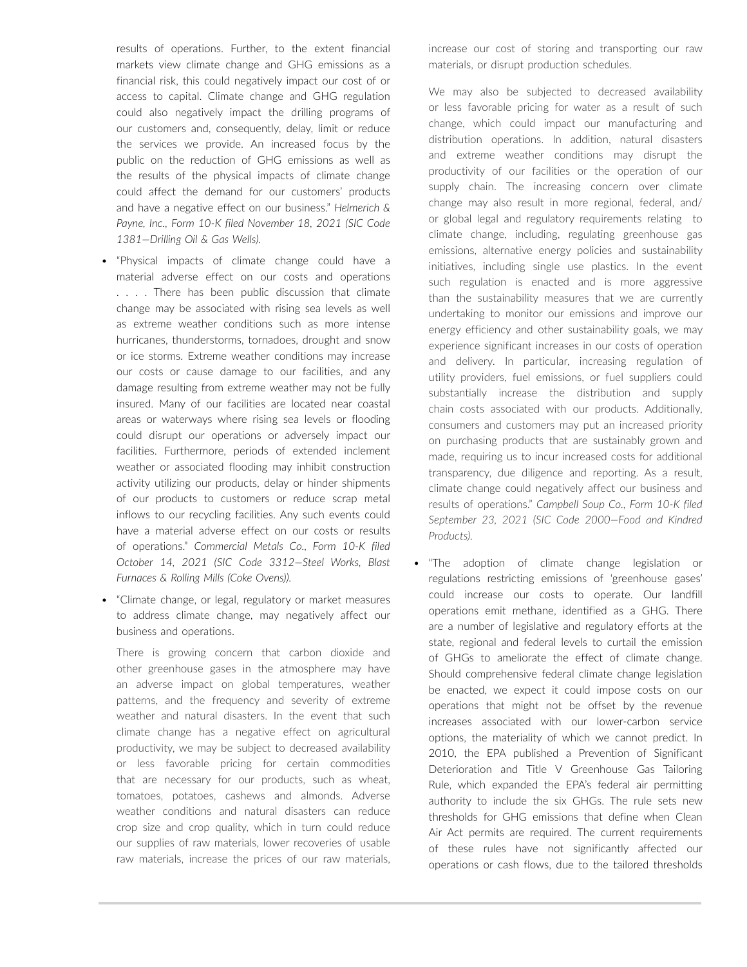results of operations. Further, to the extent financial markets view climate change and GHG emissions as a financial risk, this could negatively impact our cost of or access to capital. Climate change and GHG regulation could also negatively impact the drilling programs of our customers and, consequently, delay, limit or reduce the services we provide. An increased focus by the public on the reduction of GHG emissions as well as the results of the physical impacts of climate change could affect the demand for our customers' products and have a negative effect on our business." *Helmerich & Payne, Inc., Form 10-K filed November 18, 2021 (SIC Code 1381—Drilling Oil & Gas Wells).*

- "Physical impacts of climate change could have a material adverse effect on our costs and operations . . . . There has been public discussion that climate change may be associated with rising sea levels as well as extreme weather conditions such as more intense hurricanes, thunderstorms, tornadoes, drought and snow or ice storms. Extreme weather conditions may increase our costs or cause damage to our facilities, and any damage resulting from extreme weather may not be fully insured. Many of our facilities are located near coastal areas or waterways where rising sea levels or flooding could disrupt our operations or adversely impact our facilities. Furthermore, periods of extended inclement weather or associated flooding may inhibit construction activity utilizing our products, delay or hinder shipments of our products to customers or reduce scrap metal inflows to our recycling facilities. Any such events could have a material adverse effect on our costs or results of operations." *Commercial Metals Co., Form 10-K filed October 14, 2021 (SIC Code 3312—Steel Works, Blast Furnaces & Rolling Mills (Coke Ovens)).*
- "Climate change, or legal, regulatory or market measures to address climate change, may negatively affect our business and operations.

There is growing concern that carbon dioxide and other greenhouse gases in the atmosphere may have an adverse impact on global temperatures, weather patterns, and the frequency and severity of extreme weather and natural disasters. In the event that such climate change has a negative effect on agricultural productivity, we may be subject to decreased availability or less favorable pricing for certain commodities that are necessary for our products, such as wheat, tomatoes, potatoes, cashews and almonds. Adverse weather conditions and natural disasters can reduce crop size and crop quality, which in turn could reduce our supplies of raw materials, lower recoveries of usable raw materials, increase the prices of our raw materials, increase our cost of storing and transporting our raw materials, or disrupt production schedules.

We may also be subjected to decreased availability or less favorable pricing for water as a result of such change, which could impact our manufacturing and distribution operations. In addition, natural disasters and extreme weather conditions may disrupt the productivity of our facilities or the operation of our supply chain. The increasing concern over climate change may also result in more regional, federal, and/ or global legal and regulatory requirements relating to climate change, including, regulating greenhouse gas emissions, alternative energy policies and sustainability initiatives, including single use plastics. In the event such regulation is enacted and is more aggressive than the sustainability measures that we are currently undertaking to monitor our emissions and improve our energy efficiency and other sustainability goals, we may experience significant increases in our costs of operation and delivery. In particular, increasing regulation of utility providers, fuel emissions, or fuel suppliers could substantially increase the distribution and supply chain costs associated with our products. Additionally, consumers and customers may put an increased priority on purchasing products that are sustainably grown and made, requiring us to incur increased costs for additional transparency, due diligence and reporting. As a result, climate change could negatively affect our business and results of operations." *Campbell Soup Co., Form 10-K filed September 23, 2021 (SIC Code 2000—Food and Kindred Products).*

• "The adoption of climate change legislation or regulations restricting emissions of 'greenhouse gases' could increase our costs to operate. Our landfill operations emit methane, identified as a GHG. There are a number of legislative and regulatory efforts at the state, regional and federal levels to curtail the emission of GHGs to ameliorate the effect of climate change. Should comprehensive federal climate change legislation be enacted, we expect it could impose costs on our operations that might not be offset by the revenue increases associated with our lower-carbon service options, the materiality of which we cannot predict. In 2010, the EPA published a Prevention of Significant Deterioration and Title V Greenhouse Gas Tailoring Rule, which expanded the EPA's federal air permitting authority to include the six GHGs. The rule sets new thresholds for GHG emissions that define when Clean Air Act permits are required. The current requirements of these rules have not significantly affected our operations or cash flows, due to the tailored thresholds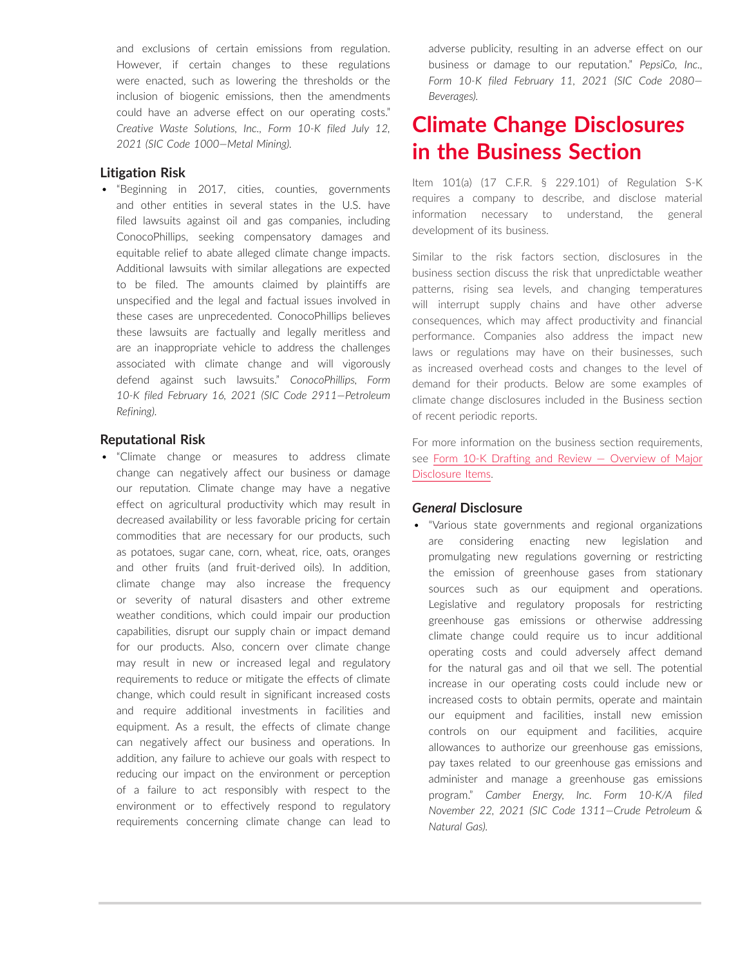and exclusions of certain emissions from regulation. However, if certain changes to these regulations were enacted, such as lowering the thresholds or the inclusion of biogenic emissions, then the amendments could have an adverse effect on our operating costs." *Creative Waste Solutions, Inc., Form 10-K filed July 12, 2021 (SIC Code 1000—Metal Mining).*

### **Litigation Risk**

• "Beginning in 2017, cities, counties, governments and other entities in several states in the U.S. have filed lawsuits against oil and gas companies, including ConocoPhillips, seeking compensatory damages and equitable relief to abate alleged climate change impacts. Additional lawsuits with similar allegations are expected to be filed. The amounts claimed by plaintiffs are unspecified and the legal and factual issues involved in these cases are unprecedented. ConocoPhillips believes these lawsuits are factually and legally meritless and are an inappropriate vehicle to address the challenges associated with climate change and will vigorously defend against such lawsuits." *ConocoPhillips, Form 10-K filed February 16, 2021 (SIC Code 2911—Petroleum Refining).*

### **Reputational Risk**

• "Climate change or measures to address climate change can negatively affect our business or damage our reputation. Climate change may have a negative effect on agricultural productivity which may result in decreased availability or less favorable pricing for certain commodities that are necessary for our products, such as potatoes, sugar cane, corn, wheat, rice, oats, oranges and other fruits (and fruit-derived oils). In addition, climate change may also increase the frequency or severity of natural disasters and other extreme weather conditions, which could impair our production capabilities, disrupt our supply chain or impact demand for our products. Also, concern over climate change may result in new or increased legal and regulatory requirements to reduce or mitigate the effects of climate change, which could result in significant increased costs and require additional investments in facilities and equipment. As a result, the effects of climate change can negatively affect our business and operations. In addition, any failure to achieve our goals with respect to reducing our impact on the environment or perception of a failure to act responsibly with respect to the environment or to effectively respond to regulatory requirements concerning climate change can lead to adverse publicity, resulting in an adverse effect on our business or damage to our reputation." *PepsiCo, Inc., Form 10-K filed February 11, 2021 (SIC Code 2080— Beverages).*

# **Climate Change Disclosure***s* **in the Business Section**

Item 101(a) (17 C.F.R. § 229.101) of Regulation S-K requires a company to describe, and disclose material information necessary to understand, the general development of its business.

Similar to the risk factors section, disclosures in the business section discuss the risk that unpredictable weather patterns, rising sea levels, and changing temperatures will interrupt supply chains and have other adverse consequences, which may affect productivity and financial performance. Companies also address the impact new laws or regulations may have on their businesses, such as increased overhead costs and changes to the level of demand for their products. Below are some examples of climate change disclosures included in the Business section of recent periodic reports.

For more information on the business section requirements, see [Form 10-K Drafting and Review — Overview of Major](https://advance.lexis.com/open/document/lpadocument/?pdmfid=1000522&pddocfullpath=%2Fshared%2Fdocument%2Fanalytical-materials%2Furn%3AcontentItem%3A5F28-XHM1-JNCK-23SS-00000-00&pdcontentcomponentid=500749&pdteaserkey=sr0&pditab=allpods&ecomp=ztrg&earg=sr0)  [Disclosure Items](https://advance.lexis.com/open/document/lpadocument/?pdmfid=1000522&pddocfullpath=%2Fshared%2Fdocument%2Fanalytical-materials%2Furn%3AcontentItem%3A5F28-XHM1-JNCK-23SS-00000-00&pdcontentcomponentid=500749&pdteaserkey=sr0&pditab=allpods&ecomp=ztrg&earg=sr0).

#### *General* **Disclosure**

• "Various state governments and regional organizations are considering enacting new legislation and promulgating new regulations governing or restricting the emission of greenhouse gases from stationary sources such as our equipment and operations. Legislative and regulatory proposals for restricting greenhouse gas emissions or otherwise addressing climate change could require us to incur additional operating costs and could adversely affect demand for the natural gas and oil that we sell. The potential increase in our operating costs could include new or increased costs to obtain permits, operate and maintain our equipment and facilities, install new emission controls on our equipment and facilities, acquire allowances to authorize our greenhouse gas emissions, pay taxes related to our greenhouse gas emissions and administer and manage a greenhouse gas emissions program." *Camber Energy, Inc. Form 10-K/A filed November 22, 2021 (SIC Code 1311—Crude Petroleum & Natural Gas).*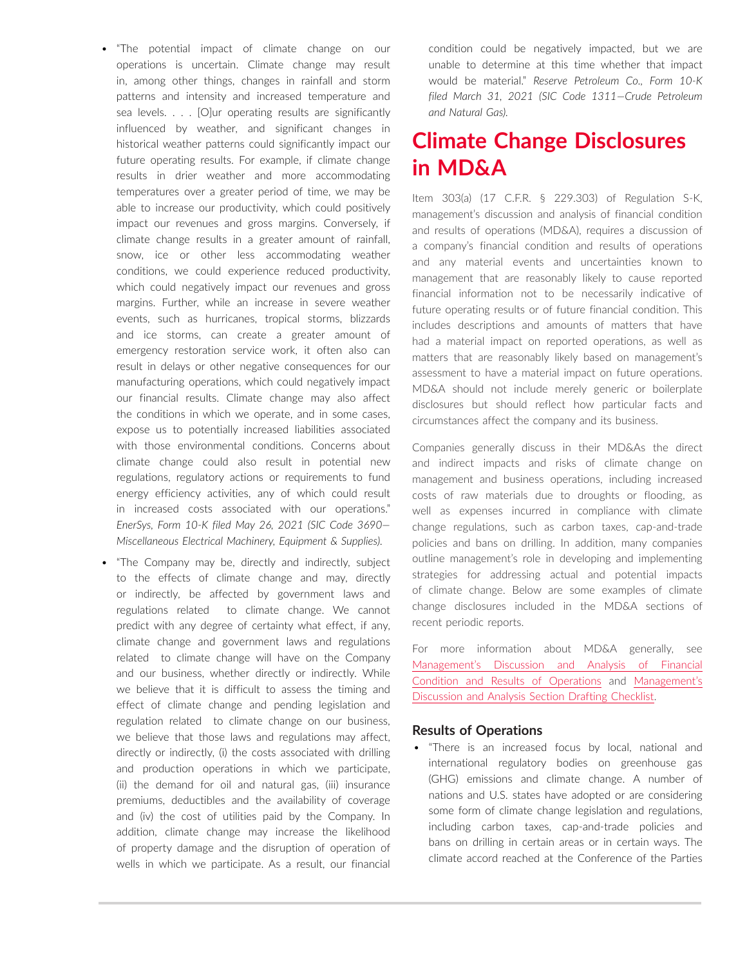- "The potential impact of climate change on our operations is uncertain. Climate change may result in, among other things, changes in rainfall and storm patterns and intensity and increased temperature and sea levels. . . . [O]ur operating results are significantly influenced by weather, and significant changes in historical weather patterns could significantly impact our future operating results. For example, if climate change results in drier weather and more accommodating temperatures over a greater period of time, we may be able to increase our productivity, which could positively impact our revenues and gross margins. Conversely, if climate change results in a greater amount of rainfall, snow, ice or other less accommodating weather conditions, we could experience reduced productivity, which could negatively impact our revenues and gross margins. Further, while an increase in severe weather events, such as hurricanes, tropical storms, blizzards and ice storms, can create a greater amount of emergency restoration service work, it often also can result in delays or other negative consequences for our manufacturing operations, which could negatively impact our financial results. Climate change may also affect the conditions in which we operate, and in some cases, expose us to potentially increased liabilities associated with those environmental conditions. Concerns about climate change could also result in potential new regulations, regulatory actions or requirements to fund energy efficiency activities, any of which could result in increased costs associated with our operations." *EnerSys, Form 10-K filed May 26, 2021 (SIC Code 3690— Miscellaneous Electrical Machinery, Equipment & Supplies).*
- "The Company may be, directly and indirectly, subject to the effects of climate change and may, directly or indirectly, be affected by government laws and regulations related to climate change. We cannot predict with any degree of certainty what effect, if any, climate change and government laws and regulations related to climate change will have on the Company and our business, whether directly or indirectly. While we believe that it is difficult to assess the timing and effect of climate change and pending legislation and regulation related to climate change on our business, we believe that those laws and regulations may affect, directly or indirectly, (i) the costs associated with drilling and production operations in which we participate, (ii) the demand for oil and natural gas, (iii) insurance premiums, deductibles and the availability of coverage and (iv) the cost of utilities paid by the Company. In addition, climate change may increase the likelihood of property damage and the disruption of operation of wells in which we participate. As a result, our financial

condition could be negatively impacted, but we are unable to determine at this time whether that impact would be material." *Reserve Petroleum Co., Form 10-K filed March 31, 2021 (SIC Code 1311—Crude Petroleum and Natural Gas).*

# **Climate Change Disclosures in MD&A**

Item 303(a) (17 C.F.R. § 229.303) of Regulation S-K, management's discussion and analysis of financial condition and results of operations (MD&A), requires a discussion of a company's financial condition and results of operations and any material events and uncertainties known to management that are reasonably likely to cause reported financial information not to be necessarily indicative of future operating results or of future financial condition. This includes descriptions and amounts of matters that have had a material impact on reported operations, as well as matters that are reasonably likely based on management's assessment to have a material impact on future operations. MD&A should not include merely generic or boilerplate disclosures but should reflect how particular facts and circumstances affect the company and its business.

Companies generally discuss in their MD&As the direct and indirect impacts and risks of climate change on management and business operations, including increased costs of raw materials due to droughts or flooding, as well as expenses incurred in compliance with climate change regulations, such as carbon taxes, cap-and-trade policies and bans on drilling. In addition, many companies outline management's role in developing and implementing strategies for addressing actual and potential impacts of climate change. Below are some examples of climate change disclosures included in the MD&A sections of recent periodic reports.

For more information about MD&A generally, see [Management's Discussion and Analysis of Financial](https://advance.lexis.com/open/document/lpadocument/?pdmfid=1000522&pddocfullpath=%2Fshared%2Fdocument%2Fanalytical-materials%2Furn%3AcontentItem%3A5P9P-JJ71-JNJT-B38K-00000-00&pdcontentcomponentid=500749&pdteaserkey=sr0&pditab=allpods&ecomp=ztrg&earg=sr0)  [Condition and Results of Operations](https://advance.lexis.com/open/document/lpadocument/?pdmfid=1000522&pddocfullpath=%2Fshared%2Fdocument%2Fanalytical-materials%2Furn%3AcontentItem%3A5P9P-JJ71-JNJT-B38K-00000-00&pdcontentcomponentid=500749&pdteaserkey=sr0&pditab=allpods&ecomp=ztrg&earg=sr0) and [Management's](https://advance.lexis.com/open/document/lpadocument/?pdmfid=1000522&pddocfullpath=%2Fshared%2Fdocument%2Fforms%2Furn%3AcontentItem%3A5J0K-KPC1-FG68-G23C-00000-00&pdcontentcomponentid=500751&pdteaserkey=sr0&pditab=allpods&ecomp=ztrg&earg=sr0) [Discussion and Analysis Section Drafting Checklist](https://advance.lexis.com/open/document/lpadocument/?pdmfid=1000522&pddocfullpath=%2Fshared%2Fdocument%2Fforms%2Furn%3AcontentItem%3A5J0K-KPC1-FG68-G23C-00000-00&pdcontentcomponentid=500751&pdteaserkey=sr0&pditab=allpods&ecomp=ztrg&earg=sr0).

#### **Results of Operations**

• "There is an increased focus by local, national and international regulatory bodies on greenhouse gas (GHG) emissions and climate change. A number of nations and U.S. states have adopted or are considering some form of climate change legislation and regulations, including carbon taxes, cap-and-trade policies and bans on drilling in certain areas or in certain ways. The climate accord reached at the Conference of the Parties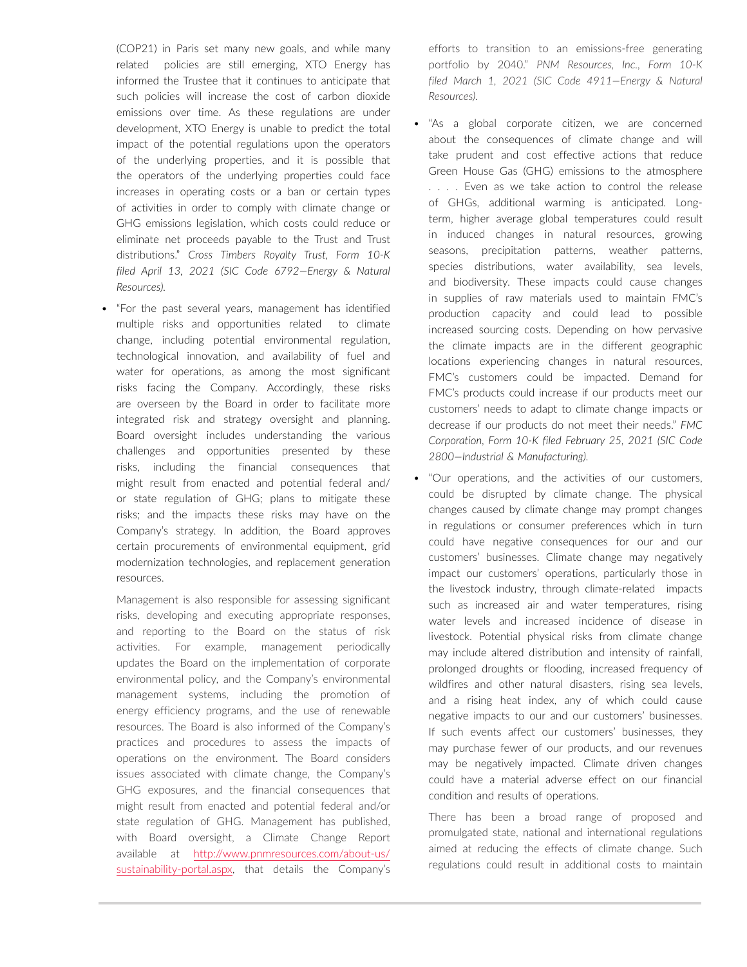(COP21) in Paris set many new goals, and while many related policies are still emerging, XTO Energy has informed the Trustee that it continues to anticipate that such policies will increase the cost of carbon dioxide emissions over time. As these regulations are under development, XTO Energy is unable to predict the total impact of the potential regulations upon the operators of the underlying properties, and it is possible that the operators of the underlying properties could face increases in operating costs or a ban or certain types of activities in order to comply with climate change or GHG emissions legislation, which costs could reduce or eliminate net proceeds payable to the Trust and Trust distributions." *Cross Timbers Royalty Trust, Form 10-K filed April 13, 2021 (SIC Code 6792—Energy & Natural Resources).*

• "For the past several years, management has identified multiple risks and opportunities related to climate change, including potential environmental regulation, technological innovation, and availability of fuel and water for operations, as among the most significant risks facing the Company. Accordingly, these risks are overseen by the Board in order to facilitate more integrated risk and strategy oversight and planning. Board oversight includes understanding the various challenges and opportunities presented by these risks, including the financial consequences that might result from enacted and potential federal and/ or state regulation of GHG; plans to mitigate these risks; and the impacts these risks may have on the Company's strategy. In addition, the Board approves certain procurements of environmental equipment, grid modernization technologies, and replacement generation resources.

Management is also responsible for assessing significant risks, developing and executing appropriate responses, and reporting to the Board on the status of risk activities. For example, management periodically updates the Board on the implementation of corporate environmental policy, and the Company's environmental management systems, including the promotion of energy efficiency programs, and the use of renewable resources. The Board is also informed of the Company's practices and procedures to assess the impacts of operations on the environment. The Board considers issues associated with climate change, the Company's GHG exposures, and the financial consequences that might result from enacted and potential federal and/or state regulation of GHG. Management has published, with Board oversight, a Climate Change Report available at [http://www.pnmresources.com/about-us/](http://www.pnmresources.com/about-us/sustainability-portal.aspx,) [sustainability-portal.aspx,](http://www.pnmresources.com/about-us/sustainability-portal.aspx,) that details the Company's efforts to transition to an emissions-free generating portfolio by 2040." *PNM Resources, Inc., Form 10-K filed March 1, 2021 (SIC Code 4911—Energy & Natural Resources).*

- "As a global corporate citizen, we are concerned about the consequences of climate change and will take prudent and cost effective actions that reduce Green House Gas (GHG) emissions to the atmosphere . . . . Even as we take action to control the release of GHGs, additional warming is anticipated. Longterm, higher average global temperatures could result in induced changes in natural resources, growing seasons, precipitation patterns, weather patterns, species distributions, water availability, sea levels, and biodiversity. These impacts could cause changes in supplies of raw materials used to maintain FMC's production capacity and could lead to possible increased sourcing costs. Depending on how pervasive the climate impacts are in the different geographic locations experiencing changes in natural resources, FMC's customers could be impacted. Demand for FMC's products could increase if our products meet our customers' needs to adapt to climate change impacts or decrease if our products do not meet their needs." *FMC Corporation, Form 10-K filed February 25, 2021 (SIC Code 2800—Industrial & Manufacturing).*
- "Our operations, and the activities of our customers, could be disrupted by climate change. The physical changes caused by climate change may prompt changes in regulations or consumer preferences which in turn could have negative consequences for our and our customers' businesses. Climate change may negatively impact our customers' operations, particularly those in the livestock industry, through climate-related impacts such as increased air and water temperatures, rising water levels and increased incidence of disease in livestock. Potential physical risks from climate change may include altered distribution and intensity of rainfall, prolonged droughts or flooding, increased frequency of wildfires and other natural disasters, rising sea levels, and a rising heat index, any of which could cause negative impacts to our and our customers' businesses. If such events affect our customers' businesses, they may purchase fewer of our products, and our revenues may be negatively impacted. Climate driven changes could have a material adverse effect on our financial condition and results of operations.

There has been a broad range of proposed and promulgated state, national and international regulations aimed at reducing the effects of climate change. Such regulations could result in additional costs to maintain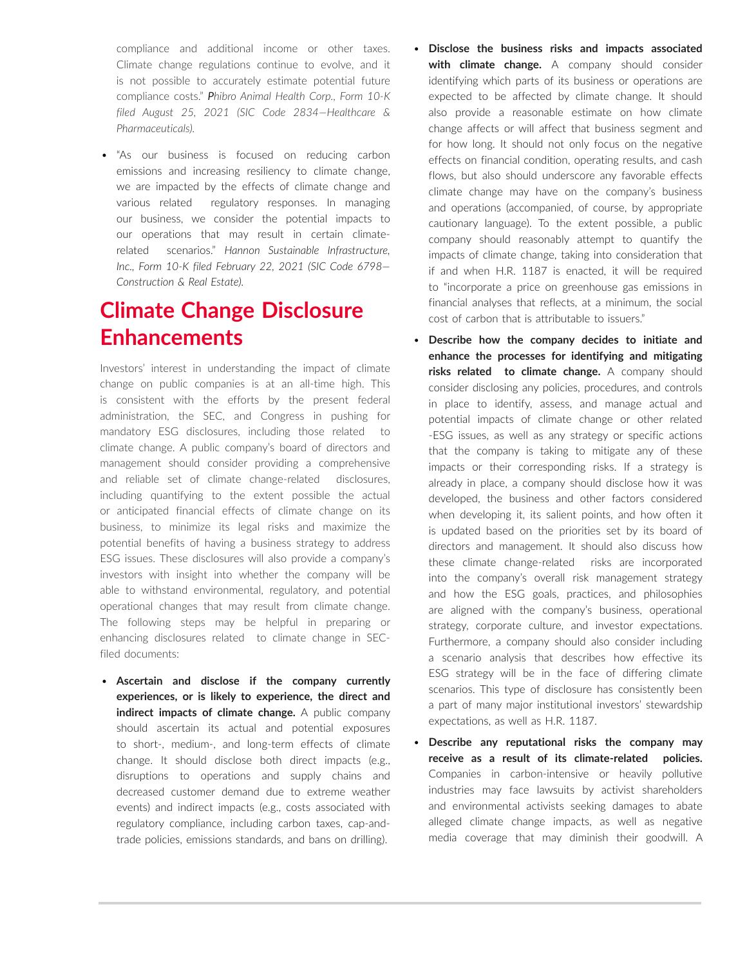compliance and additional income or other taxes. Climate change regulations continue to evolve, and it is not possible to accurately estimate potential future compliance costs." *Phibro Animal Health Corp., Form 10-K filed August 25, 2021 (SIC Code 2834—Healthcare & Pharmaceuticals).*

• "As our business is focused on reducing carbon emissions and increasing resiliency to climate change, we are impacted by the effects of climate change and various related regulatory responses. In managing our business, we consider the potential impacts to our operations that may result in certain climaterelated scenarios." *Hannon Sustainable Infrastructure, Inc., Form 10-K filed February 22, 2021 (SIC Code 6798— Construction & Real Estate).*

# **Climate Change Disclosure Enhancements**

Investors' interest in understanding the impact of climate change on public companies is at an all-time high. This is consistent with the efforts by the present federal administration, the SEC, and Congress in pushing for mandatory ESG disclosures, including those related to climate change. A public company's board of directors and management should consider providing a comprehensive and reliable set of climate change-related disclosures, including quantifying to the extent possible the actual or anticipated financial effects of climate change on its business, to minimize its legal risks and maximize the potential benefits of having a business strategy to address ESG issues. These disclosures will also provide a company's investors with insight into whether the company will be able to withstand environmental, regulatory, and potential operational changes that may result from climate change. The following steps may be helpful in preparing or enhancing disclosures related to climate change in SECfiled documents:

• **Ascertain and disclose if the company currently experiences, or is likely to experience, the direct and indirect impacts of climate change.** A public company should ascertain its actual and potential exposures to short-, medium-, and long-term effects of climate change. It should disclose both direct impacts (e.g., disruptions to operations and supply chains and decreased customer demand due to extreme weather events) and indirect impacts (e.g., costs associated with regulatory compliance, including carbon taxes, cap-andtrade policies, emissions standards, and bans on drilling).

- **Disclose the business risks and impacts associated with climate change.** A company should consider identifying which parts of its business or operations are expected to be affected by climate change. It should also provide a reasonable estimate on how climate change affects or will affect that business segment and for how long. It should not only focus on the negative effects on financial condition, operating results, and cash flows, but also should underscore any favorable effects climate change may have on the company's business and operations (accompanied, of course, by appropriate cautionary language). To the extent possible, a public company should reasonably attempt to quantify the impacts of climate change, taking into consideration that if and when H.R. 1187 is enacted, it will be required to "incorporate a price on greenhouse gas emissions in financial analyses that reflects, at a minimum, the social cost of carbon that is attributable to issuers."
- **Describe how the company decides to initiate and enhance the processes for identifying and mitigating risks related to climate change.** A company should consider disclosing any policies, procedures, and controls in place to identify, assess, and manage actual and potential impacts of climate change or other related -ESG issues, as well as any strategy or specific actions that the company is taking to mitigate any of these impacts or their corresponding risks. If a strategy is already in place, a company should disclose how it was developed, the business and other factors considered when developing it, its salient points, and how often it is updated based on the priorities set by its board of directors and management. It should also discuss how these climate change-related risks are incorporated into the company's overall risk management strategy and how the ESG goals, practices, and philosophies are aligned with the company's business, operational strategy, corporate culture, and investor expectations. Furthermore, a company should also consider including a scenario analysis that describes how effective its ESG strategy will be in the face of differing climate scenarios. This type of disclosure has consistently been a part of many major institutional investors' stewardship expectations, as well as H.R. 1187.
- **Describe any reputational risks the company may receive as a result of its climate-related policies.**  Companies in carbon-intensive or heavily pollutive industries may face lawsuits by activist shareholders and environmental activists seeking damages to abate alleged climate change impacts, as well as negative media coverage that may diminish their goodwill. A